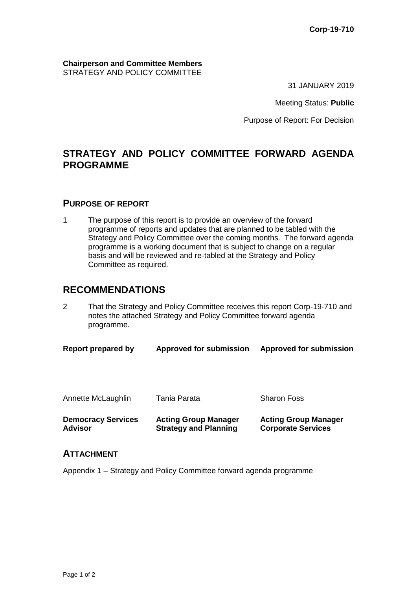**Chairperson and Committee Members** STRATEGY AND POLICY COMMITTEE

31 JANUARY 2019

Meeting Status: **Public**

Purpose of Report: For Decision

## **STRATEGY AND POLICY COMMITTEE FORWARD AGENDA PROGRAMME**

#### **PURPOSE OF REPORT**

1 The purpose of this report is to provide an overview of the forward programme of reports and updates that are planned to be tabled with the Strategy and Policy Committee over the coming months. The forward agenda programme is a working document that is subject to change on a regular basis and will be reviewed and re-tabled at the Strategy and Policy Committee as required.

### **RECOMMENDATIONS**

2 That the Strategy and Policy Committee receives this report Corp-19-710 and notes the attached Strategy and Policy Committee forward agenda programme.

| <b>Democracy Services</b><br><b>Advisor</b> | <b>Acting Group Manager</b><br><b>Strategy and Planning</b> | <b>Acting Group Manager</b><br><b>Corporate Services</b> |
|---------------------------------------------|-------------------------------------------------------------|----------------------------------------------------------|
| Annette McLaughlin                          | Tania Parata                                                | <b>Sharon Foss</b>                                       |
| Report prepared by                          | <b>Approved for submission</b>                              | <b>Approved for submission</b>                           |

#### **ATTACHMENT**

Appendix 1 – Strategy and Policy Committee forward agenda programme